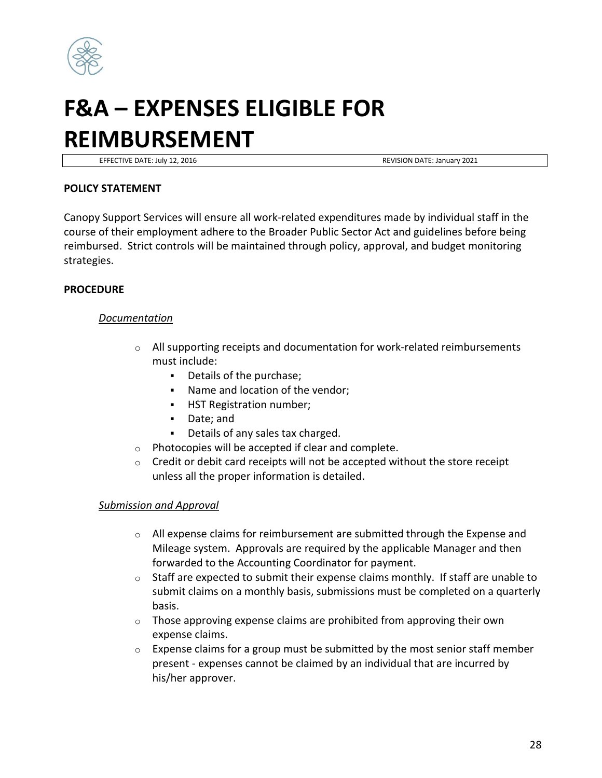

# **F&A – EXPENSES ELIGIBLE FOR REIMBURSEMENT**

EFFECTIVE DATE: July 12, 2016 **REVISION DATE: January 2021** 

## **POLICY STATEMENT**

Canopy Support Services will ensure all work-related expenditures made by individual staff in the course of their employment adhere to the Broader Public Sector Act and guidelines before being reimbursed. Strict controls will be maintained through policy, approval, and budget monitoring strategies.

# **PROCEDURE**

## *Documentation*

- $\circ$  All supporting receipts and documentation for work-related reimbursements must include:
	- Details of the purchase;
	- Name and location of the vendor;
	- **HST Registration number;**
	- Date; and
	- Details of any sales tax charged.
- o Photocopies will be accepted if clear and complete.
- $\circ$  Credit or debit card receipts will not be accepted without the store receipt unless all the proper information is detailed.

## *Submission and Approval*

- $\circ$  All expense claims for reimbursement are submitted through the Expense and Mileage system. Approvals are required by the applicable Manager and then forwarded to the Accounting Coordinator for payment.
- $\circ$  Staff are expected to submit their expense claims monthly. If staff are unable to submit claims on a monthly basis, submissions must be completed on a quarterly basis.
- $\circ$  Those approving expense claims are prohibited from approving their own expense claims.
- $\circ$  Expense claims for a group must be submitted by the most senior staff member present - expenses cannot be claimed by an individual that are incurred by his/her approver.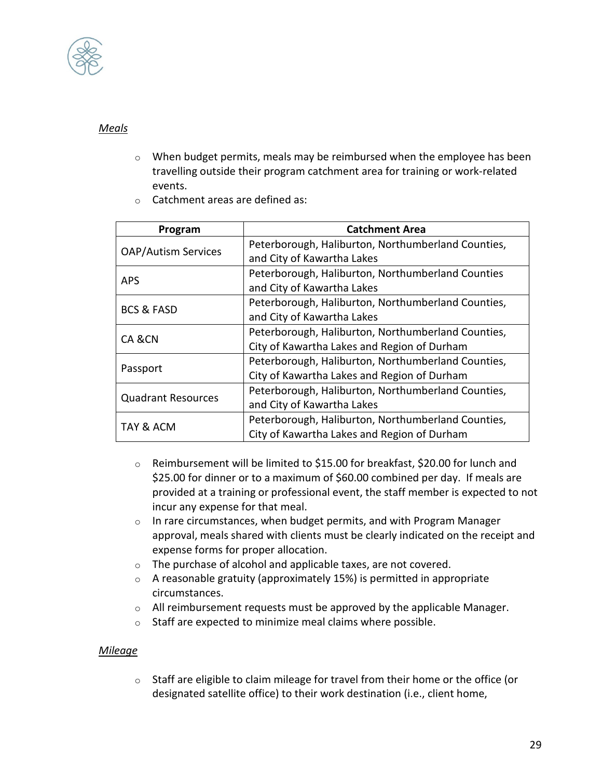

# *Meals*

o When budget permits, meals may be reimbursed when the employee has been travelling outside their program catchment area for training or work-related events.

| Program                    | <b>Catchment Area</b>                              |
|----------------------------|----------------------------------------------------|
| <b>OAP/Autism Services</b> | Peterborough, Haliburton, Northumberland Counties, |
|                            | and City of Kawartha Lakes                         |
| <b>APS</b>                 | Peterborough, Haliburton, Northumberland Counties  |
|                            | and City of Kawartha Lakes                         |
| <b>BCS &amp; FASD</b>      | Peterborough, Haliburton, Northumberland Counties, |
|                            | and City of Kawartha Lakes                         |
| CA &CN                     | Peterborough, Haliburton, Northumberland Counties, |
|                            | City of Kawartha Lakes and Region of Durham        |
| Passport                   | Peterborough, Haliburton, Northumberland Counties, |
|                            | City of Kawartha Lakes and Region of Durham        |
| <b>Quadrant Resources</b>  | Peterborough, Haliburton, Northumberland Counties, |
|                            | and City of Kawartha Lakes                         |
| TAY & ACM                  | Peterborough, Haliburton, Northumberland Counties, |
|                            | City of Kawartha Lakes and Region of Durham        |

o Catchment areas are defined as:

- $\circ$  Reimbursement will be limited to \$15.00 for breakfast, \$20.00 for lunch and \$25.00 for dinner or to a maximum of \$60.00 combined per day. If meals are provided at a training or professional event, the staff member is expected to not incur any expense for that meal.
- o In rare circumstances, when budget permits, and with Program Manager approval, meals shared with clients must be clearly indicated on the receipt and expense forms for proper allocation.
- o The purchase of alcohol and applicable taxes, are not covered.
- $\circ$  A reasonable gratuity (approximately 15%) is permitted in appropriate circumstances.
- $\circ$  All reimbursement requests must be approved by the applicable Manager.
- o Staff are expected to minimize meal claims where possible.

## *Mileage*

 $\circ$  Staff are eligible to claim mileage for travel from their home or the office (or designated satellite office) to their work destination (i.e., client home,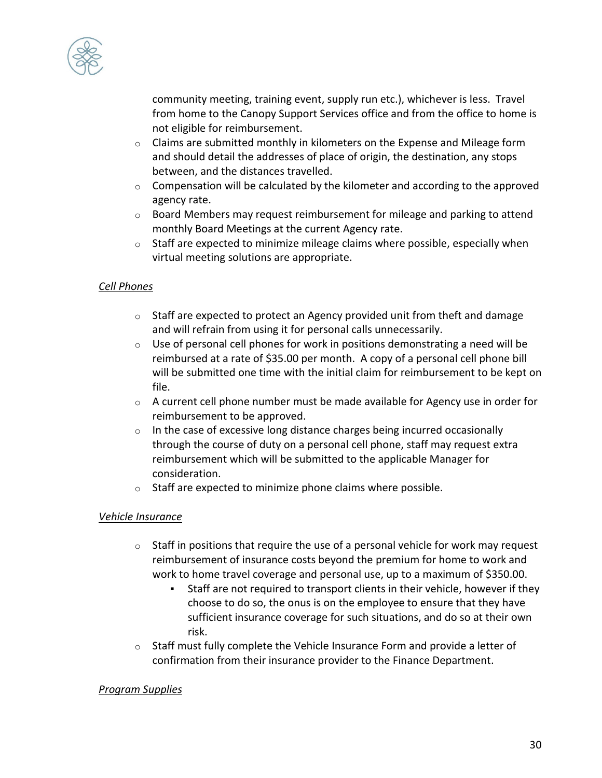

community meeting, training event, supply run etc.), whichever is less. Travel from home to the Canopy Support Services office and from the office to home is not eligible for reimbursement.

- $\circ$  Claims are submitted monthly in kilometers on the Expense and Mileage form and should detail the addresses of place of origin, the destination, any stops between, and the distances travelled.
- $\circ$  Compensation will be calculated by the kilometer and according to the approved agency rate.
- $\circ$  Board Members may request reimbursement for mileage and parking to attend monthly Board Meetings at the current Agency rate.
- o Staff are expected to minimize mileage claims where possible, especially when virtual meeting solutions are appropriate.

# *Cell Phones*

- $\circ$  Staff are expected to protect an Agency provided unit from theft and damage and will refrain from using it for personal calls unnecessarily.
- $\circ$  Use of personal cell phones for work in positions demonstrating a need will be reimbursed at a rate of \$35.00 per month. A copy of a personal cell phone bill will be submitted one time with the initial claim for reimbursement to be kept on file.
- $\circ$  A current cell phone number must be made available for Agency use in order for reimbursement to be approved.
- $\circ$  In the case of excessive long distance charges being incurred occasionally through the course of duty on a personal cell phone, staff may request extra reimbursement which will be submitted to the applicable Manager for consideration.
- o Staff are expected to minimize phone claims where possible.

# *Vehicle Insurance*

- o Staff in positions that require the use of a personal vehicle for work may request reimbursement of insurance costs beyond the premium for home to work and work to home travel coverage and personal use, up to a maximum of \$350.00.
	- Staff are not required to transport clients in their vehicle, however if they choose to do so, the onus is on the employee to ensure that they have sufficient insurance coverage for such situations, and do so at their own risk.
- $\circ$  Staff must fully complete the Vehicle Insurance Form and provide a letter of confirmation from their insurance provider to the Finance Department.

# *Program Supplies*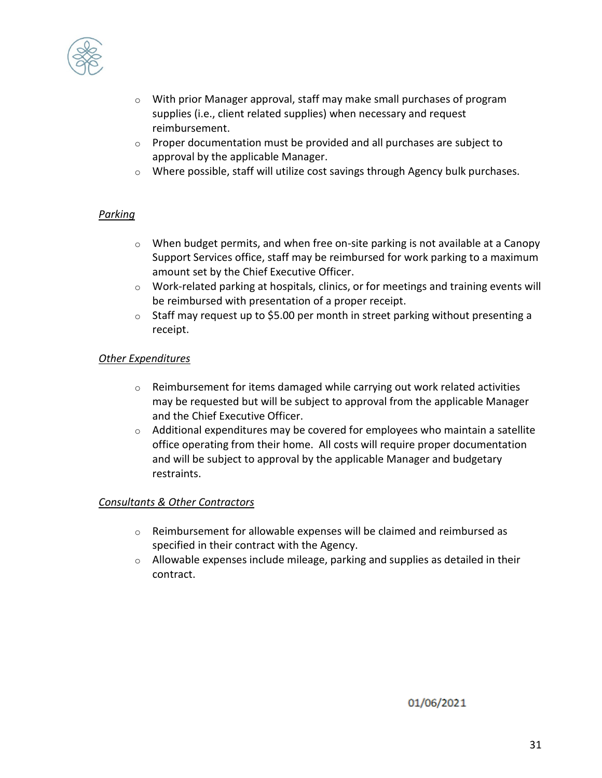

- $\circ$  With prior Manager approval, staff may make small purchases of program supplies (i.e., client related supplies) when necessary and request reimbursement.
- $\circ$  Proper documentation must be provided and all purchases are subject to approval by the applicable Manager.
- $\circ$  Where possible, staff will utilize cost savings through Agency bulk purchases.

# *Parking*

- $\circ$  When budget permits, and when free on-site parking is not available at a Canopy Support Services office, staff may be reimbursed for work parking to a maximum amount set by the Chief Executive Officer.
- o Work-related parking at hospitals, clinics, or for meetings and training events will be reimbursed with presentation of a proper receipt.
- $\circ$  Staff may request up to \$5.00 per month in street parking without presenting a receipt.

# *Other Expenditures*

- $\circ$  Reimbursement for items damaged while carrying out work related activities may be requested but will be subject to approval from the applicable Manager and the Chief Executive Officer.
- $\circ$  Additional expenditures may be covered for employees who maintain a satellite office operating from their home. All costs will require proper documentation and will be subject to approval by the applicable Manager and budgetary restraints.

## *Consultants & Other Contractors*

- $\circ$  Reimbursement for allowable expenses will be claimed and reimbursed as specified in their contract with the Agency.
- $\circ$  Allowable expenses include mileage, parking and supplies as detailed in their contract.